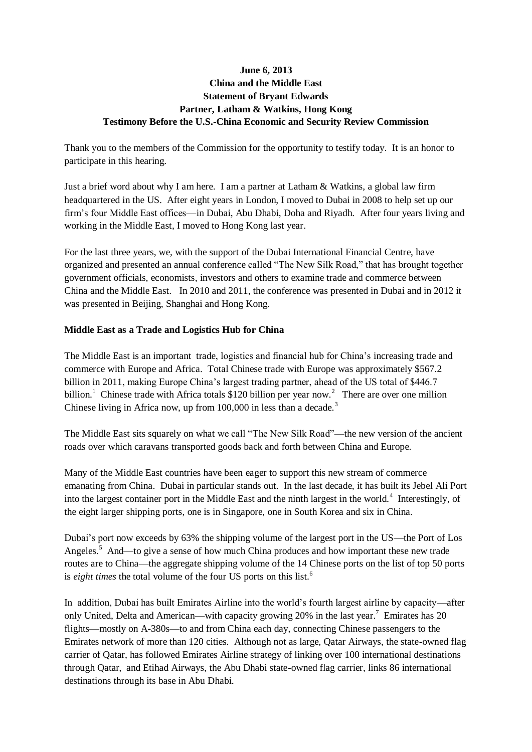# **June 6, 2013 China and the Middle East Statement of Bryant Edwards Partner, Latham & Watkins, Hong Kong Testimony Before the U.S.-China Economic and Security Review Commission**

Thank you to the members of the Commission for the opportunity to testify today. It is an honor to participate in this hearing.

Just a brief word about why I am here. I am a partner at Latham & Watkins, a global law firm headquartered in the US. After eight years in London, I moved to Dubai in 2008 to help set up our firm's four Middle East offices—in Dubai, Abu Dhabi, Doha and Riyadh. After four years living and working in the Middle East, I moved to Hong Kong last year.

For the last three years, we, with the support of the Dubai International Financial Centre, have organized and presented an annual conference called "The New Silk Road," that has brought together government officials, economists, investors and others to examine trade and commerce between China and the Middle East. In 2010 and 2011, the conference was presented in Dubai and in 2012 it was presented in Beijing, Shanghai and Hong Kong.

### **Middle East as a Trade and Logistics Hub for China**

The Middle East is an important trade, logistics and financial hub for China's increasing trade and commerce with Europe and Africa. Total Chinese trade with Europe was approximately \$567.2 billion in 2011, making Europe China's largest trading partner, ahead of the US total of \$446.7 billion.<sup>1</sup> Chinese trade with Africa totals \$120 billion per year now.<sup>2</sup> There are over one million Chinese living in Africa now, up from 100,000 in less than a decade.<sup>3</sup>

The Middle East sits squarely on what we call "The New Silk Road"—the new version of the ancient roads over which caravans transported goods back and forth between China and Europe.

Many of the Middle East countries have been eager to support this new stream of commerce emanating from China. Dubai in particular stands out. In the last decade, it has built its Jebel Ali Port into the largest container port in the Middle East and the ninth largest in the world.<sup>4</sup> Interestingly, of the eight larger shipping ports, one is in Singapore, one in South Korea and six in China.

Dubai's port now exceeds by 63% the shipping volume of the largest port in the US—the Port of Los Angeles.<sup>5</sup> And—to give a sense of how much China produces and how important these new trade routes are to China—the aggregate shipping volume of the 14 Chinese ports on the list of top 50 ports is *eight times* the total volume of the four US ports on this list. 6

In addition, Dubai has built Emirates Airline into the world's fourth largest airline by capacity—after only United, Delta and American—with capacity growing 20% in the last year.<sup>7</sup> Emirates has 20 flights—mostly on A-380s—to and from China each day, connecting Chinese passengers to the Emirates network of more than 120 cities. Although not as large, Qatar Airways, the state-owned flag carrier of Qatar, has followed Emirates Airline strategy of linking over 100 international destinations through Qatar, and Etihad Airways, the Abu Dhabi state-owned flag carrier, links 86 international destinations through its base in Abu Dhabi.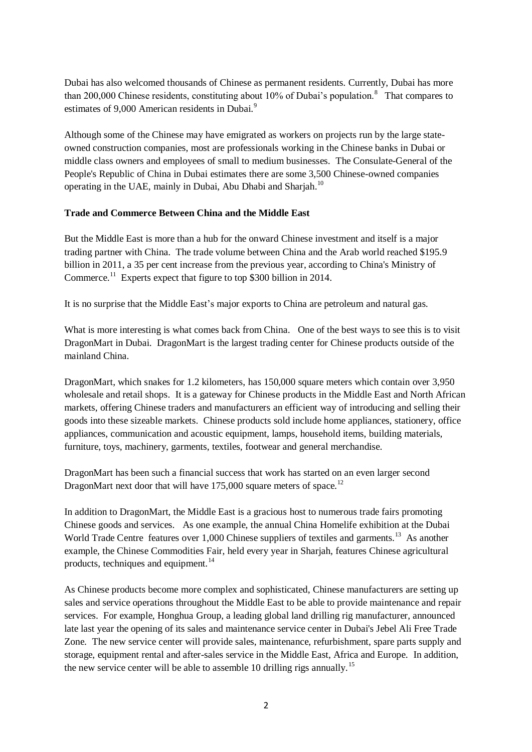Dubai has also welcomed thousands of Chinese as permanent residents. Currently, Dubai has more than 200,000 Chinese residents, constituting about  $10\%$  of Dubai's population.<sup>8</sup> That compares to estimates of 9,000 American residents in Dubai.<sup>9</sup>

Although some of the Chinese may have emigrated as workers on projects run by the large stateowned construction companies, most are professionals working in the Chinese banks in Dubai or middle class owners and employees of small to medium businesses. The Consulate-General of the People's Republic of China in Dubai estimates there are some 3,500 Chinese-owned companies operating in the UAE, mainly in Dubai, Abu Dhabi and Sharjah.<sup>10</sup>

#### **Trade and Commerce Between China and the Middle East**

But the Middle East is more than a hub for the onward Chinese investment and itself is a major trading partner with China. The trade volume between China and the Arab world reached \$195.9 billion in 2011, a 35 per cent increase from the previous year, according to China's Ministry of Commerce.<sup>11</sup> Experts expect that figure to top \$300 billion in 2014.

It is no surprise that the Middle East's major exports to China are petroleum and natural gas.

What is more interesting is what comes back from China. One of the best ways to see this is to visit DragonMart in Dubai. DragonMart is the largest trading center for Chinese products outside of the mainland China.

DragonMart, which snakes for 1.2 kilometers, has 150,000 square meters which contain over 3,950 wholesale and retail shops. It is a gateway for Chinese products in the Middle East and North African markets, offering Chinese traders and manufacturers an efficient way of introducing and selling their goods into these sizeable markets. Chinese products sold include home appliances, stationery, office appliances, communication and acoustic equipment, lamps, household items, building materials, furniture, toys, machinery, garments, textiles, footwear and general merchandise.

DragonMart has been such a financial success that work has started on an even larger second DragonMart next door that will have  $175,000$  square meters of space.<sup>12</sup>

In addition to DragonMart, the Middle East is a gracious host to numerous trade fairs promoting Chinese goods and services. As one example, the annual China Homelife exhibition at the Dubai World Trade Centre features over 1,000 Chinese suppliers of textiles and garments.<sup>13</sup> As another example, the Chinese Commodities Fair, held every year in Sharjah, features Chinese agricultural products, techniques and equipment.<sup>14</sup>

As Chinese products become more complex and sophisticated, Chinese manufacturers are setting up sales and service operations throughout the Middle East to be able to provide maintenance and repair services. For example, Honghua Group, a leading global land drilling rig manufacturer, announced late last year the opening of its sales and maintenance service center in Dubai's Jebel Ali Free Trade Zone. The new service center will provide sales, maintenance, refurbishment, spare parts supply and storage, equipment rental and after-sales service in the Middle East, Africa and Europe. In addition, the new service center will be able to assemble 10 drilling rigs annually.<sup>15</sup>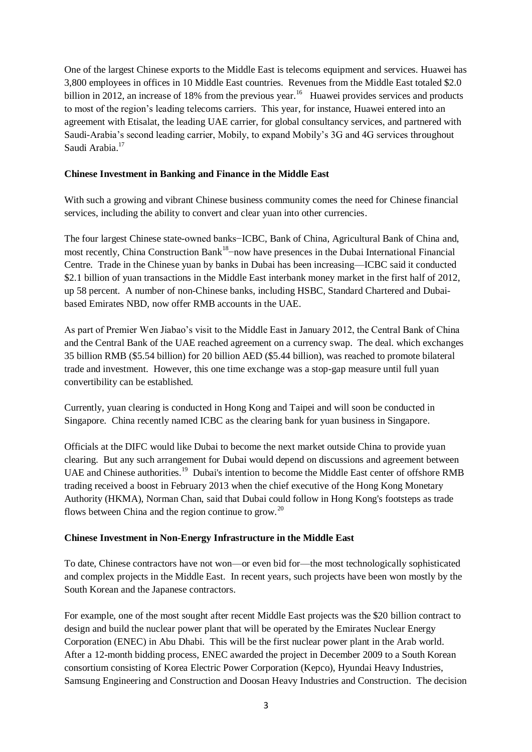One of the largest Chinese exports to the Middle East is telecoms equipment and services. Huawei has 3,800 employees in offices in 10 Middle East countries. Revenues from the Middle East totaled \$2.0 billion in 2012, an increase of 18% from the previous year.<sup>16</sup> Huawei provides services and products to most of the region's leading telecoms carriers. This year, for instance, Huawei entered into an agreement with Etisalat, the leading UAE carrier, for global consultancy services, and partnered with Saudi-Arabia's second leading carrier, Mobily, to expand Mobily's 3G and 4G services throughout Saudi Arabia.<sup>17</sup>

#### **Chinese Investment in Banking and Finance in the Middle East**

With such a growing and vibrant Chinese business community comes the need for Chinese financial services, including the ability to convert and clear yuan into other currencies.

The four largest Chinese state-owned banks−ICBC, Bank of China, Agricultural Bank of China and, most recently, China Construction Bank<sup>18</sup>–now have presences in the Dubai International Financial Centre. Trade in the Chinese yuan by banks in Dubai has been increasing—ICBC said it conducted \$2.1 billion of yuan transactions in the Middle East interbank money market in the first half of 2012, up 58 percent. A number of non-Chinese banks, including HSBC, Standard Chartered and Dubaibased Emirates NBD, now offer RMB accounts in the UAE.

As part of Premier Wen Jiabao's visit to the Middle East in January 2012, the Central Bank of China and the Central Bank of the UAE reached agreement on a currency swap. The deal. which exchanges 35 billion RMB (\$5.54 billion) for 20 billion AED (\$5.44 billion), was reached to promote bilateral trade and investment. However, this one time exchange was a stop-gap measure until full yuan convertibility can be established.

Currently, yuan clearing is conducted in Hong Kong and Taipei and will soon be conducted in Singapore. China recently named ICBC as the clearing bank for yuan business in Singapore.

Officials at the DIFC would like Dubai to become the next market outside China to provide yuan clearing. But any such arrangement for Dubai would depend on discussions and agreement between UAE and Chinese authorities.<sup>19</sup> Dubai's intention to become the Middle East center of offshore RMB trading received a boost in February 2013 when the chief executive of the Hong Kong Monetary Authority (HKMA), Norman Chan, said that Dubai could follow in Hong Kong's footsteps as trade flows between China and the region continue to grow.<sup>20</sup>

### **Chinese Investment in Non-Energy Infrastructure in the Middle East**

To date, Chinese contractors have not won—or even bid for—the most technologically sophisticated and complex projects in the Middle East. In recent years, such projects have been won mostly by the South Korean and the Japanese contractors.

For example, one of the most sought after recent Middle East projects was the \$20 billion contract to design and build the nuclear power plant that will be operated by the Emirates Nuclear Energy Corporation (ENEC) in Abu Dhabi. This will be the first nuclear power plant in the Arab world. After a 12-month bidding process, ENEC awarded the project in December 2009 to a South Korean consortium consisting of Korea Electric Power Corporation (Kepco), Hyundai Heavy Industries, Samsung Engineering and Construction and Doosan Heavy Industries and Construction. The decision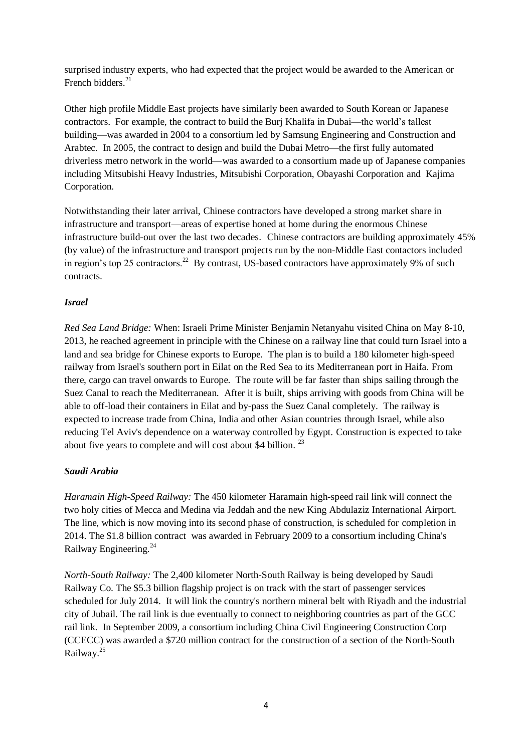surprised industry experts, who had expected that the project would be awarded to the American or French bidders. $21$ 

Other high profile Middle East projects have similarly been awarded to South Korean or Japanese contractors. For example, the contract to build the Burj Khalifa in Dubai—the world's tallest building—was awarded in 2004 to a consortium led by Samsung Engineering and Construction and Arabtec. In 2005, the contract to design and build the Dubai Metro—the first fully automated driverless metro network in the world—was awarded to a consortium made up of Japanese companies including Mitsubishi Heavy Industries, Mitsubishi Corporation, Obayashi Corporation and Kajima Corporation.

Notwithstanding their later arrival, Chinese contractors have developed a strong market share in infrastructure and transport—areas of expertise honed at home during the enormous Chinese infrastructure build-out over the last two decades. Chinese contractors are building approximately 45% (by value) of the infrastructure and transport projects run by the non-Middle East contactors included in region's top 25 contractors.<sup>22</sup> By contrast, US-based contractors have approximately 9% of such contracts.

## *Israel*

*Red Sea Land Bridge:* When: Israeli Prime Minister Benjamin Netanyahu visited China on May 8-10, 2013, he reached agreement in principle with the Chinese on a railway line that could turn Israel into a land and sea bridge for Chinese exports to Europe. The plan is to build a 180 kilometer high-speed railway from Israel's southern port in Eilat on the Red Sea to its Mediterranean port in Haifa. From there, cargo can travel onwards to Europe. The route will be far faster than ships sailing through the Suez Canal to reach the Mediterranean. After it is built, ships arriving with goods from China will be able to off-load their containers in Eilat and by-pass the Suez Canal completely. The railway is expected to increase trade from China, India and other Asian countries through Israel, while also reducing Tel Aviv's dependence on a waterway controlled by Egypt. Construction is expected to take about five years to complete and will cost about \$4 billion.  $^{23}$ 

### *Saudi Arabia*

*Haramain High-Speed Railway:* The 450 kilometer Haramain high-speed rail link will connect the two holy cities of Mecca and Medina via Jeddah and the new King Abdulaziz International Airport. The line, which is now moving into its second phase of construction, is scheduled for completion in 2014. The \$1.8 billion contract was awarded in February 2009 to a consortium including China's Railway Engineering.<sup>24</sup>

*North-South Railway:* The 2,400 kilometer North-South Railway is being developed by Saudi Railway Co. The \$5.3 billion flagship project is on track with the start of passenger services scheduled for July 2014. It will link the country's northern mineral belt with Riyadh and the industrial city of Jubail. The rail link is due eventually to connect to neighboring countries as part of the GCC rail link. In September 2009, a consortium including China Civil Engineering Construction Corp (CCECC) was awarded a \$720 million contract for the construction of a section of the North-South Railway.<sup>25</sup>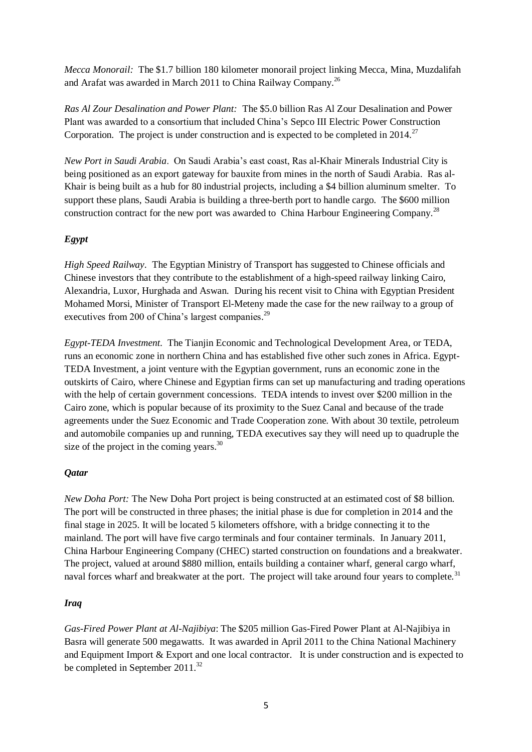*Mecca Monorail:* The \$1.7 billion 180 kilometer monorail project linking Mecca, Mina, Muzdalifah and Arafat was awarded in March 2011 to China Railway Company.<sup>26</sup>

*Ras Al Zour Desalination and Power Plant:* The \$5.0 billion Ras Al Zour Desalination and Power Plant was awarded to a consortium that included China's Sepco III Electric Power Construction Corporation. The project is under construction and is expected to be completed in  $2014$ .<sup>27</sup>

*New Port in Saudi Arabia*. On Saudi Arabia's east coast, Ras al-Khair Minerals Industrial City is being positioned as an export gateway for bauxite from mines in the north of Saudi Arabia. Ras al-Khair is being built as a hub for 80 industrial projects, including a \$4 billion aluminum smelter. To support these plans, Saudi Arabia is building a three-berth port to handle cargo. The \$600 million construction contract for the new port was awarded to China Harbour Engineering Company.<sup>28</sup>

## *Egypt*

*High Speed Railway*. The Egyptian Ministry of Transport has suggested to Chinese officials and Chinese investors that they contribute to the establishment of a high-speed railway linking Cairo, Alexandria, Luxor, Hurghada and Aswan. During his recent visit to China with Egyptian President Mohamed Morsi, Minister of Transport El-Meteny made the case for the new railway to a group of executives from 200 of China's largest companies.<sup>29</sup>

*Egypt-TEDA Investment.* The Tianjin Economic and Technological Development Area, or TEDA, runs an economic zone in northern China and has established five other such zones in Africa. Egypt-TEDA Investment, a joint venture with the Egyptian government, runs an economic zone in the outskirts of Cairo, where Chinese and Egyptian firms can set up manufacturing and trading operations with the help of certain government concessions. TEDA intends to invest over \$200 million in the Cairo zone, which is popular because of its proximity to the Suez Canal and because of the trade agreements under the Suez Economic and Trade Cooperation zone. With about 30 textile, petroleum and automobile companies up and running, TEDA executives say they will need up to quadruple the size of the project in the coming years. $30$ 

### *Qatar*

*New Doha Port:* The New Doha Port project is being constructed at an estimated cost of \$8 billion. The port will be constructed in three phases; the initial phase is due for completion in 2014 and the final stage in 2025. It will be located 5 kilometers offshore, with a bridge connecting it to the mainland. The port will have five cargo terminals and four container terminals. In January 2011, China Harbour Engineering Company (CHEC) started construction on foundations and a breakwater. The project, valued at around \$880 million, entails building a container wharf, general cargo wharf, naval forces wharf and breakwater at the port. The project will take around four vears to complete.<sup>31</sup>

### *Iraq*

*Gas-Fired Power Plant at Al-Najibiya*: The \$205 million Gas-Fired Power Plant at Al-Najibiya in Basra will generate 500 megawatts. It was awarded in April 2011 to the China National Machinery and Equipment Import & Export and one local contractor. It is under construction and is expected to be completed in September 2011.<sup>32</sup>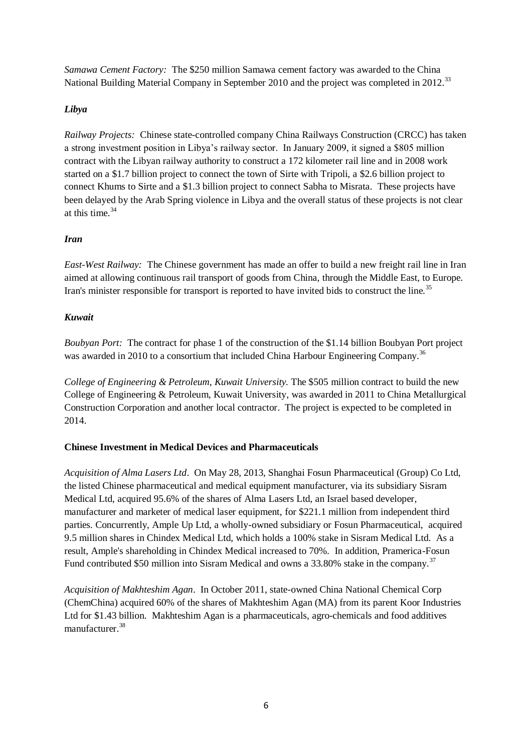*Samawa Cement Factory:* The \$250 million Samawa cement factory was awarded to the China National Building Material Company in September 2010 and the project was completed in 2012.<sup>33</sup>

# *Libya*

*Railway Projects:* Chinese state-controlled company China Railways Construction (CRCC) has taken a strong investment position in Libya's railway sector. In January 2009, it signed a \$805 million contract with the Libyan railway authority to construct a 172 kilometer rail line and in 2008 work started on a \$1.7 billion project to connect the town of Sirte with Tripoli, a \$2.6 billion project to connect Khums to Sirte and a \$1.3 billion project to connect Sabha to Misrata. These projects have been delayed by the Arab Spring violence in Libya and the overall status of these projects is not clear at this time. 34

### *Iran*

*East-West Railway:* The Chinese government has made an offer to build a new freight rail line in Iran aimed at allowing continuous rail transport of goods from China, through the Middle East, to Europe. Iran's minister responsible for transport is reported to have invited bids to construct the line.<sup>35</sup>

### *Kuwait*

*Boubyan Port:* The contract for phase 1 of the construction of the \$1.14 billion Boubyan Port project was awarded in 2010 to a consortium that included China Harbour Engineering Company.<sup>36</sup>

*College of Engineering & Petroleum, Kuwait University.* The \$505 million contract to build the new College of Engineering & Petroleum, Kuwait University, was awarded in 2011 to China Metallurgical Construction Corporation and another local contractor. The project is expected to be completed in 2014.

### **Chinese Investment in Medical Devices and Pharmaceuticals**

*Acquisition of Alma Lasers Ltd*. On May 28, 2013, Shanghai Fosun Pharmaceutical (Group) Co Ltd, the listed Chinese pharmaceutical and medical equipment manufacturer, via its subsidiary Sisram Medical Ltd, acquired 95.6% of the shares of Alma Lasers Ltd, an Israel based developer, manufacturer and marketer of medical laser equipment, for \$221.1 million from independent third parties. Concurrently, Ample Up Ltd, a wholly-owned subsidiary or Fosun Pharmaceutical, acquired 9.5 million shares in Chindex Medical Ltd, which holds a 100% stake in Sisram Medical Ltd. As a result, Ample's shareholding in Chindex Medical increased to 70%. In addition, Pramerica-Fosun Fund contributed \$50 million into Sisram Medical and owns a 33.80% stake in the company.<sup>37</sup>

*Acquisition of Makhteshim Agan*. In October 2011, state-owned China National Chemical Corp (ChemChina) acquired 60% of the shares of Makhteshim Agan (MA) from its parent Koor Industries Ltd for \$1.43 billion. Makhteshim Agan is a pharmaceuticals, agro-chemicals and food additives manufacturer.<sup>38</sup>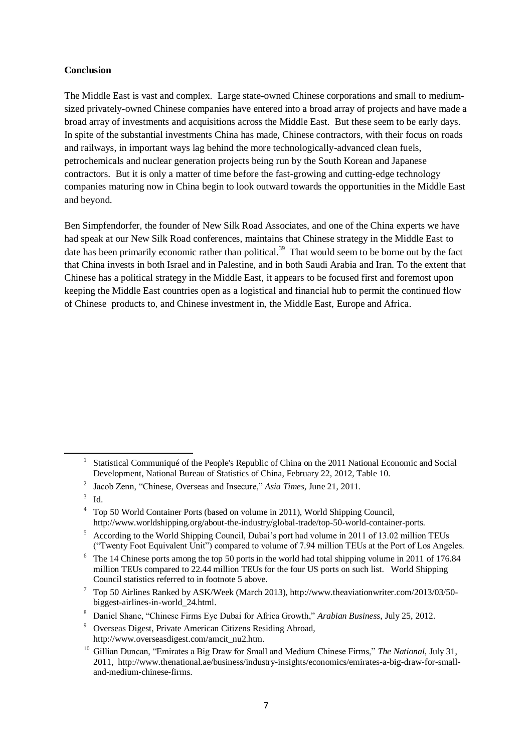#### **Conclusion**

The Middle East is vast and complex. Large state-owned Chinese corporations and small to mediumsized privately-owned Chinese companies have entered into a broad array of projects and have made a broad array of investments and acquisitions across the Middle East. But these seem to be early days. In spite of the substantial investments China has made, Chinese contractors, with their focus on roads and railways, in important ways lag behind the more technologically-advanced clean fuels, petrochemicals and nuclear generation projects being run by the South Korean and Japanese contractors. But it is only a matter of time before the fast-growing and cutting-edge technology companies maturing now in China begin to look outward towards the opportunities in the Middle East and beyond.

Ben Simpfendorfer, the founder of New Silk Road Associates, and one of the China experts we have had speak at our New Silk Road conferences, maintains that Chinese strategy in the Middle East to date has been primarily economic rather than political.<sup>39</sup> That would seem to be borne out by the fact that China invests in both Israel and in Palestine, and in both Saudi Arabia and Iran. To the extent that Chinese has a political strategy in the Middle East, it appears to be focused first and foremost upon keeping the Middle East countries open as a logistical and financial hub to permit the continued flow of Chinese products to, and Chinese investment in, the Middle East, Europe and Africa.

**.** 

<sup>1</sup> Statistical Communiqué of the People's Republic of China on the 2011 National Economic and Social Development, National Bureau of Statistics of China, February 22, 2012, Table 10.

<sup>2</sup> Jacob Zenn, "Chinese, Overseas and Insecure," *Asia Times*, June 21, 2011.

<sup>3</sup> Id.

<sup>4</sup> Top 50 World Container Ports (based on volume in 2011), World Shipping Council, http://www.worldshipping.org/about-the-industry/global-trade/top-50-world-container-ports.

<sup>5</sup> According to the World Shipping Council, Dubai's port had volume in 2011 of 13.02 million TEUs ("Twenty Foot Equivalent Unit") compared to volume of 7.94 million TEUs at the Port of Los Angeles.

<sup>6</sup> The 14 Chinese ports among the top 50 ports in the world had total shipping volume in 2011 of 176.84 million TEUs compared to 22.44 million TEUs for the four US ports on such list. World Shipping Council statistics referred to in footnote 5 above.

<sup>7</sup> Top 50 Airlines Ranked by ASK/Week (March 2013), http://www.theaviationwriter.com/2013/03/50 biggest-airlines-in-world\_24.html.

<sup>8</sup> Daniel Shane, "Chinese Firms Eye Dubai for Africa Growth," *Arabian Business*, July 25, 2012.

<sup>9</sup> Overseas Digest, Private American Citizens Residing Abroad, http://www.overseasdigest.com/amcit\_nu2.htm.

<sup>10</sup> Gillian Duncan, "Emirates a Big Draw for Small and Medium Chinese Firms," *The National*, July 31, 2011, http://www.thenational.ae/business/industry-insights/economics/emirates-a-big-draw-for-smalland-medium-chinese-firms.